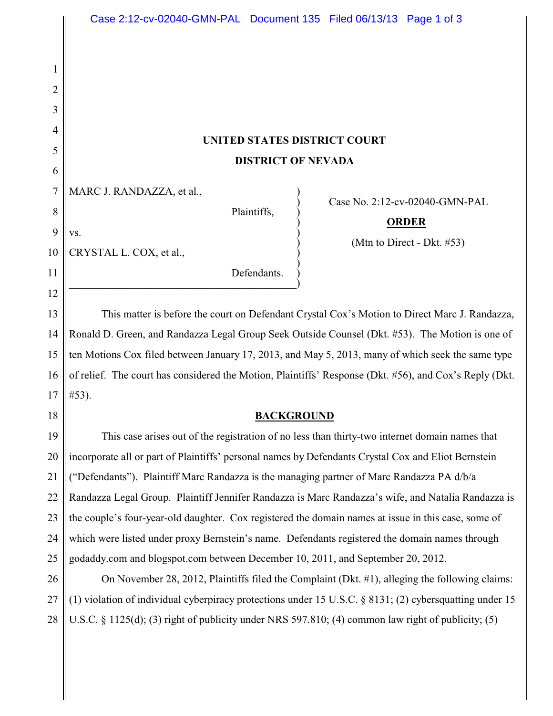# **UNITED STATES DISTRICT COURT DISTRICT OF NEVADA**

 $\big)$ 

|  | 7   MARC J. RANDAZZA, et al., |  |
|--|-------------------------------|--|
|--|-------------------------------|--|

CRYSTAL L. COX, et al., )

 $\mathbf{v}\mathbf{s}$ .

 $\hspace{.5cm}$   $\hspace{.5cm}$   $\hspace{.5cm}$   $\hspace{.5cm}$   $\hspace{.5cm}$   $\hspace{.5cm}$   $\hspace{.5cm}$   $\hspace{.5cm}$   $\hspace{.5cm}$   $\hspace{.5cm}$   $\hspace{.5cm}$   $\hspace{.5cm}$   $\hspace{.5cm}$   $\hspace{.5cm}$   $\hspace{.5cm}$   $\hspace{.5cm}$   $\hspace{.5cm}$   $\hspace{.5cm}$   $\hspace{.5cm}$   $\hspace{.5cm}$ 

1

2

3

4

5

6

8

9

10

11

12

18

Plaintiffs, )

Defendants.

) Case No. 2:12-cv-02040-GMN-PAL

## ) **ORDER**

) (Mtn to Direct - Dkt. #53)

13 14 15 16 17 This matter is before the court on Defendant Crystal Cox's Motion to Direct Marc J. Randazza, Ronald D. Green, and Randazza Legal Group Seek Outside Counsel (Dkt. #53). The Motion is one of ten Motions Cox filed between January 17, 2013, and May 5, 2013, many of which seek the same type of relief. The court has considered the Motion, Plaintiffs' Response (Dkt. #56), and Cox's Reply (Dkt. #53).

## **BACKGROUND**

19 20 21 22 23 24 25 This case arises out of the registration of no less than thirty-two internet domain names that incorporate all or part of Plaintiffs' personal names by Defendants Crystal Cox and Eliot Bernstein ("Defendants"). Plaintiff Marc Randazza is the managing partner of Marc Randazza PA d/b/a Randazza Legal Group. Plaintiff Jennifer Randazza is Marc Randazza's wife, and Natalia Randazza is the couple's four-year-old daughter. Cox registered the domain names at issue in this case, some of which were listed under proxy Bernstein's name. Defendants registered the domain names through godaddy.com and blogspot.com between December 10, 2011, and September 20, 2012.

26 27 28 On November 28, 2012, Plaintiffs filed the Complaint (Dkt. #1), alleging the following claims: (1) violation of individual cyberpiracy protections under 15 U.S.C. § 8131; (2) cybersquatting under 15 U.S.C. § 1125(d); (3) right of publicity under NRS 597.810; (4) common law right of publicity; (5)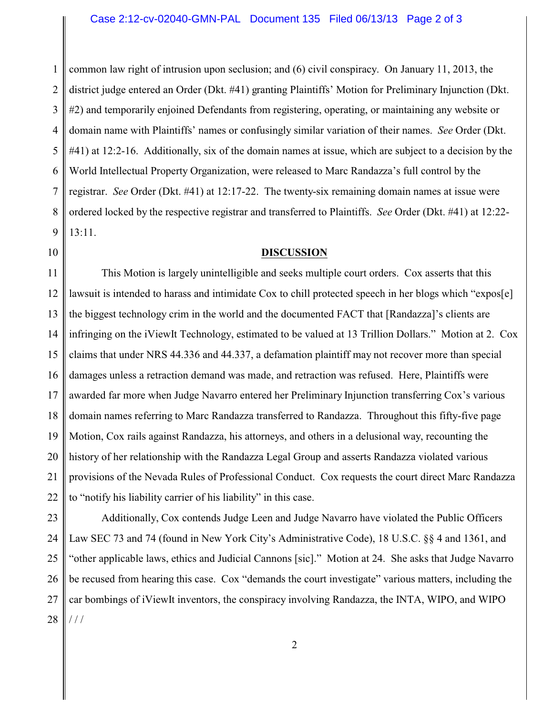#### Case 2:12-cv-02040-GMN-PAL Document 135 Filed 06/13/13 Page 2 of 3

1 2 3 4 5 6 7 8 9 common law right of intrusion upon seclusion; and (6) civil conspiracy. On January 11, 2013, the district judge entered an Order (Dkt. #41) granting Plaintiffs' Motion for Preliminary Injunction (Dkt. #2) and temporarily enjoined Defendants from registering, operating, or maintaining any website or domain name with Plaintiffs' names or confusingly similar variation of their names. *See* Order (Dkt. #41) at 12:2-16. Additionally, six of the domain names at issue, which are subject to a decision by the World Intellectual Property Organization, were released to Marc Randazza's full control by the registrar. *See* Order (Dkt. #41) at 12:17-22. The twenty-six remaining domain names at issue were ordered locked by the respective registrar and transferred to Plaintiffs. *See* Order (Dkt. #41) at 12:22- 13:11.

#### 10

#### **DISCUSSION**

11 12 13 14 15 16 17 18 19 20 21 22 This Motion is largely unintelligible and seeks multiple court orders. Cox asserts that this lawsuit is intended to harass and intimidate Cox to chill protected speech in her blogs which "expos[e] the biggest technology crim in the world and the documented FACT that [Randazza]'s clients are infringing on the iViewIt Technology, estimated to be valued at 13 Trillion Dollars." Motion at 2. Cox claims that under NRS 44.336 and 44.337, a defamation plaintiff may not recover more than special damages unless a retraction demand was made, and retraction was refused. Here, Plaintiffs were awarded far more when Judge Navarro entered her Preliminary Injunction transferring Cox's various domain names referring to Marc Randazza transferred to Randazza. Throughout this fifty-five page Motion, Cox rails against Randazza, his attorneys, and others in a delusional way, recounting the history of her relationship with the Randazza Legal Group and asserts Randazza violated various provisions of the Nevada Rules of Professional Conduct. Cox requests the court direct Marc Randazza to "notify his liability carrier of his liability" in this case.

23 24 25 26 27 28 Additionally, Cox contends Judge Leen and Judge Navarro have violated the Public Officers Law SEC 73 and 74 (found in New York City's Administrative Code), 18 U.S.C. §§ 4 and 1361, and "other applicable laws, ethics and Judicial Cannons [sic]." Motion at 24. She asks that Judge Navarro be recused from hearing this case. Cox "demands the court investigate" various matters, including the car bombings of iViewIt inventors, the conspiracy involving Randazza, the INTA, WIPO, and WIPO / / /